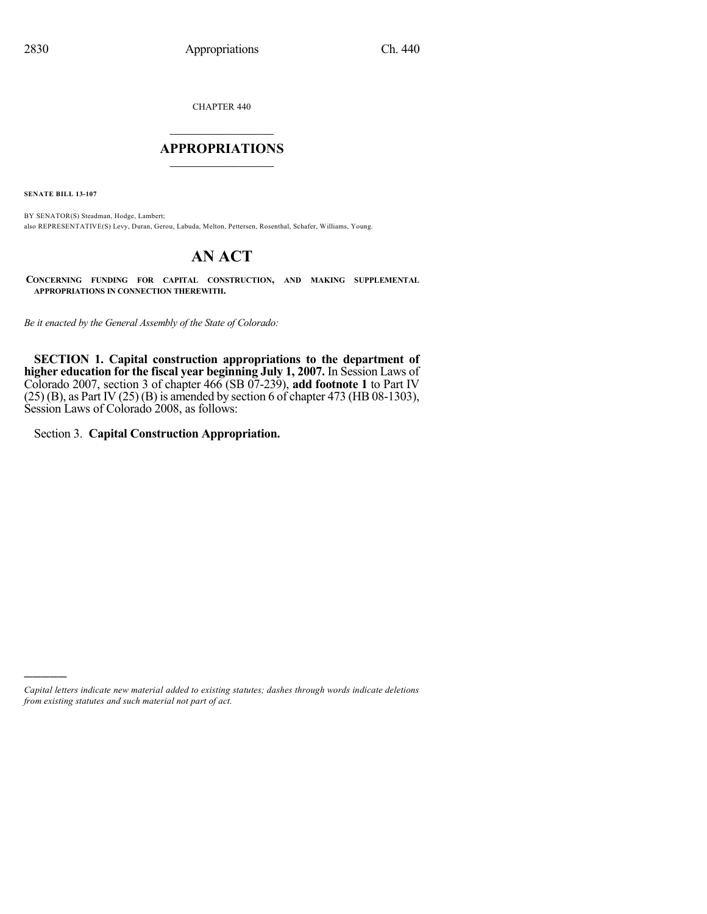CHAPTER 440

### $\mathcal{L}_\text{max}$  . The set of the set of the set of the set of the set of the set of the set of the set of the set of the set of the set of the set of the set of the set of the set of the set of the set of the set of the set **APPROPRIATIONS**  $\_$   $\_$   $\_$   $\_$   $\_$   $\_$   $\_$   $\_$

**SENATE BILL 13-107**

)))))

BY SENATOR(S) Steadman, Hodge, Lambert; also REPRESENTATIVE(S) Levy, Duran, Gerou, Labuda, Melton, Pettersen, Rosenthal, Schafer, Williams, Young.

# **AN ACT**

**CONCERNING FUNDING FOR CAPITAL CONSTRUCTION, AND MAKING SUPPLEMENTAL APPROPRIATIONS IN CONNECTION THEREWITH.**

*Be it enacted by the General Assembly of the State of Colorado:*

**SECTION 1. Capital construction appropriations to the department of higher education for the fiscal year beginning July 1, 2007.** In Session Laws of Colorado 2007, section 3 of chapter 466 (SB 07-239), **add footnote 1** to Part IV (25) (B), as Part IV (25) (B) is amended by section 6 of chapter 473 (HB 08-1303), Session Laws of Colorado 2008, as follows:

Section 3. **Capital Construction Appropriation.**

*Capital letters indicate new material added to existing statutes; dashes through words indicate deletions from existing statutes and such material not part of act.*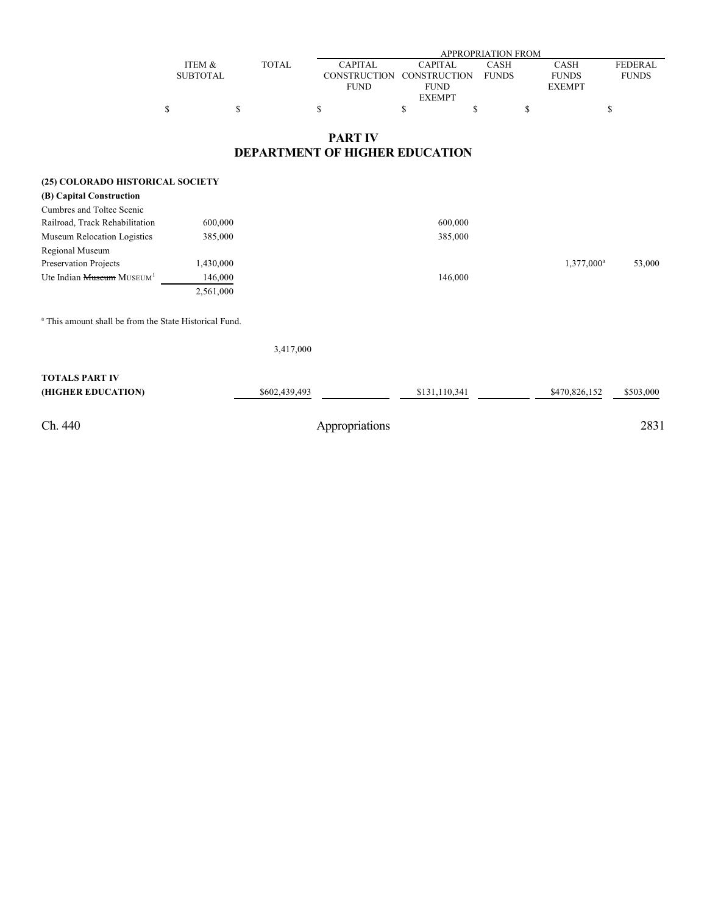|                                                                   | APPROPRIATION FROM |               |                                       |                           |              |                        |                |
|-------------------------------------------------------------------|--------------------|---------------|---------------------------------------|---------------------------|--------------|------------------------|----------------|
|                                                                   | ITEM &             | <b>TOTAL</b>  | <b>CAPITAL</b>                        | <b>CAPITAL</b>            | CASH         | CASH                   | <b>FEDERAL</b> |
|                                                                   | <b>SUBTOTAL</b>    |               | <b>CONSTRUCTION</b>                   | <b>CONSTRUCTION</b>       | <b>FUNDS</b> | <b>FUNDS</b>           | <b>FUNDS</b>   |
|                                                                   |                    |               | <b>FUND</b>                           | <b>FUND</b>               |              | <b>EXEMPT</b>          |                |
|                                                                   | \$<br>\$           |               | \$                                    | <b>EXEMPT</b><br>\$<br>\$ | \$           | \$                     |                |
|                                                                   |                    |               |                                       |                           |              |                        |                |
|                                                                   |                    |               | <b>PART IV</b>                        |                           |              |                        |                |
|                                                                   |                    |               | <b>DEPARTMENT OF HIGHER EDUCATION</b> |                           |              |                        |                |
| (25) COLORADO HISTORICAL SOCIETY                                  |                    |               |                                       |                           |              |                        |                |
| (B) Capital Construction                                          |                    |               |                                       |                           |              |                        |                |
| Cumbres and Toltec Scenic                                         |                    |               |                                       |                           |              |                        |                |
| Railroad, Track Rehabilitation                                    | 600,000            |               |                                       | 600,000                   |              |                        |                |
| Museum Relocation Logistics                                       | 385,000            |               |                                       | 385,000                   |              |                        |                |
| Regional Museum                                                   |                    |               |                                       |                           |              |                        |                |
| Preservation Projects                                             | 1,430,000          |               |                                       |                           |              | 1,377,000 <sup>a</sup> | 53,000         |
| Ute Indian Museum MUSEUM <sup>1</sup>                             | 146,000            |               |                                       | 146,000                   |              |                        |                |
|                                                                   | 2,561,000          |               |                                       |                           |              |                        |                |
|                                                                   |                    |               |                                       |                           |              |                        |                |
| <sup>a</sup> This amount shall be from the State Historical Fund. |                    |               |                                       |                           |              |                        |                |
|                                                                   |                    | 3,417,000     |                                       |                           |              |                        |                |
| <b>TOTALS PART IV</b>                                             |                    |               |                                       |                           |              |                        |                |
| (HIGHER EDUCATION)                                                |                    | \$602,439,493 |                                       | \$131,110,341             |              | \$470,826,152          | \$503,000      |
|                                                                   |                    |               |                                       |                           |              |                        |                |
| Ch. 440                                                           |                    |               | Appropriations                        |                           |              |                        | 2831           |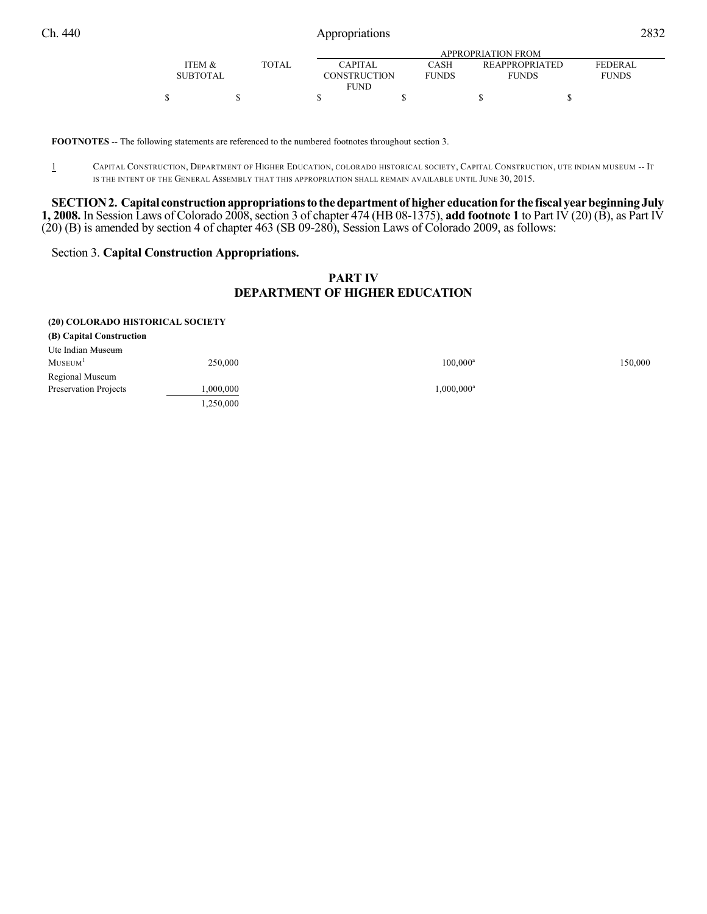| ×<br>i |
|--------|
|--------|

|                   |              | APPROPRIATION FROM |              |                       |                |  |  |  |  |
|-------------------|--------------|--------------------|--------------|-----------------------|----------------|--|--|--|--|
| <b>ITEM &amp;</b> | <b>TOTAL</b> | <b>CAPITAL</b>     | CASH         | <b>REAPPROPRIATED</b> | <b>FEDERAL</b> |  |  |  |  |
| <b>SUBTOTAL</b>   |              | CONSTRUCTION       | <b>FUNDS</b> | <b>FUNDS</b>          | <b>FUNDS</b>   |  |  |  |  |
|                   |              | <b>FUND</b>        |              |                       |                |  |  |  |  |
|                   |              |                    |              |                       |                |  |  |  |  |

**FOOTNOTES** -- The following statements are referenced to the numbered footnotes throughout section 3.

1 CAPITAL CONSTRUCTION, DEPARTMENT OF HIGHER EDUCATION, COLORADO HISTORICAL SOCIETY, CAPITAL CONSTRUCTION, UTE INDIAN MUSEUM -- IT IS THE INTENT OF THE GENERAL ASSEMBLY THAT THIS APPROPRIATION SHALL REMAIN AVAILABLE UNTIL JUNE 30, 2015.

**SECTION2. Capital constructionappropriationstothedepartment of higher educationfor the fiscal yearbeginningJuly 1, 2008.** In Session Laws of Colorado 2008, section 3 of chapter 474 (HB 08-1375), add footnote 1 to Part IV (20) (B), as Part IV (20) (B) is amended by section 4 of chapter 463 (SB 09-280), Session Laws of Colorado 2009, as follows:

#### Section 3. **Capital Construction Appropriations.**

#### **PART IV DEPARTMENT OF HIGHER EDUCATION**

#### **(20) COLORADO HISTORICAL SOCIETY**

**(B) Capital Construction**

| Ute Indian Museum     |           |               |         |
|-----------------------|-----------|---------------|---------|
| $M$ USEUM $1$         | 250,000   | $100,000^a$   | 150,000 |
| Regional Museum       |           |               |         |
| Preservation Projects | 000,000,1 | $1,000,000^a$ |         |
|                       | .250,000  |               |         |
|                       |           |               |         |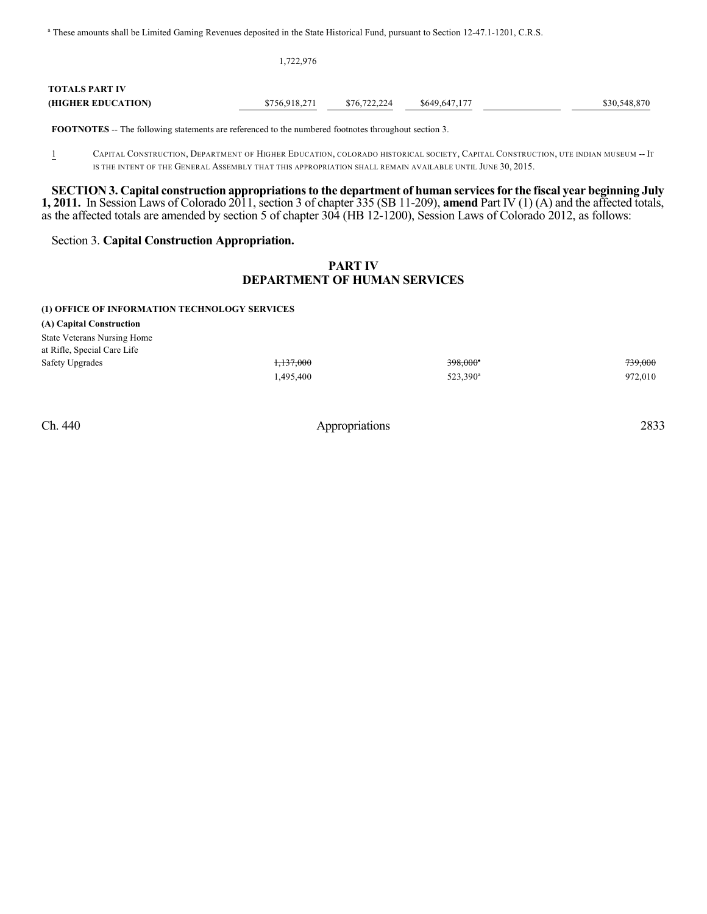<sup>a</sup> These amounts shall be Limited Gaming Revenues deposited in the State Historical Fund, pursuant to Section 12-47.1-1201, C.R.S.

|                       | 1,722,976     |              |               |              |
|-----------------------|---------------|--------------|---------------|--------------|
| <b>TOTALS PART IV</b> |               |              |               |              |
| (HIGHER EDUCATION)    | \$756,918,271 | \$76,722,224 | \$649,647,177 | \$30,548,870 |

**FOOTNOTES** -- The following statements are referenced to the numbered footnotes throughout section 3.

1 CAPITAL CONSTRUCTION, DEPARTMENT OF HIGHER EDUCATION, COLORADO HISTORICAL SOCIETY, CAPITAL CONSTRUCTION, UTE INDIAN MUSEUM -- IT IS THE INTENT OF THE GENERAL ASSEMBLY THAT THIS APPROPRIATION SHALL REMAIN AVAILABLE UNTIL JUNE 30, 2015.

**SECTION 3. Capital construction appropriationsto the department of human servicesfor the fiscal year beginning July 1, 2011.** In Session Laws of Colorado 2011, section 3 of chapter 335 (SB 11-209), **amend** Part IV (1) (A) and the affected totals, as the affected totals are amended by section 5 of chapter 304 (HB 12-1200), Session Laws of Colorado 2012, as follows:

#### Section 3. **Capital Construction Appropriation.**

#### **PART IV DEPARTMENT OF HUMAN SERVICES**

#### **(1) OFFICE OF INFORMATION TECHNOLOGY SERVICES**

**(A) Capital Construction**

| <b>State Veterans Nursing Home</b> |           |                        |         |
|------------------------------------|-----------|------------------------|---------|
| at Rifle, Special Care Life        |           |                        |         |
| Safety Upgrades                    | 1.137.000 | $398.000$ <sup>a</sup> | 739,000 |
|                                    | .495,400  | 523.390 <sup>a</sup>   | 972,010 |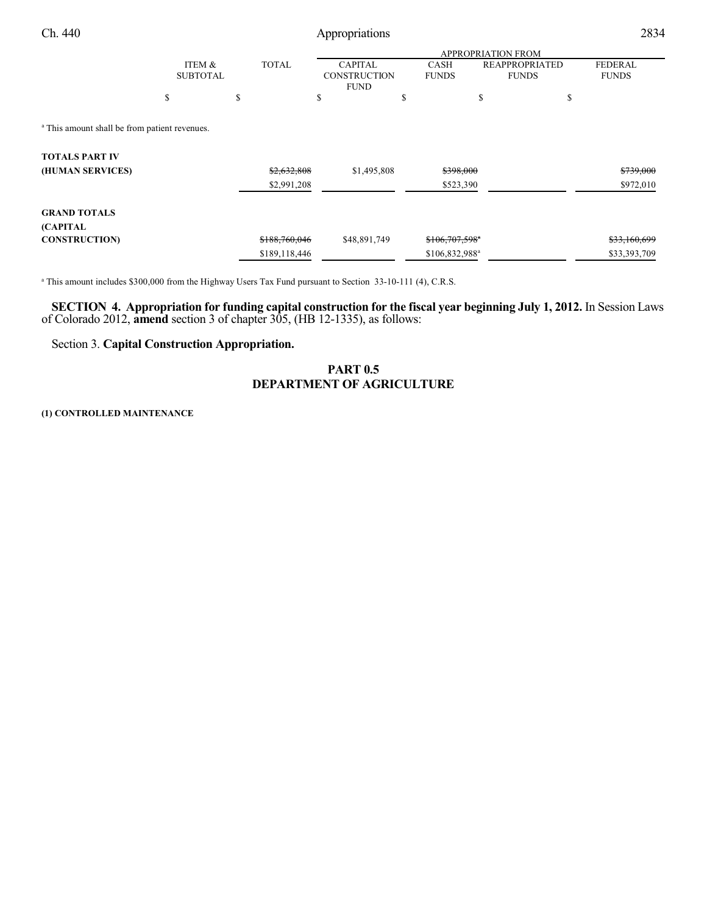|                                                          |                 |  |              |                                    |                                                                                                                 |                              | <b>APPROPRIATION FROM</b> |   |              |  |
|----------------------------------------------------------|-----------------|--|--------------|------------------------------------|-----------------------------------------------------------------------------------------------------------------|------------------------------|---------------------------|---|--------------|--|
|                                                          | ITEM &          |  | <b>TOTAL</b> | <b>CAPITAL</b>                     |                                                                                                                 | CASH                         | REAPPROPRIATED            |   | FEDERAL      |  |
|                                                          | <b>SUBTOTAL</b> |  |              | <b>CONSTRUCTION</b><br><b>FUND</b> |                                                                                                                 | <b>FUNDS</b><br><b>FUNDS</b> |                           |   | <b>FUNDS</b> |  |
|                                                          |                 |  |              | \$                                 | S                                                                                                               |                              |                           |   |              |  |
|                                                          |                 |  |              |                                    |                                                                                                                 |                              |                           | Œ |              |  |
| <sup>a</sup> This amount shall be from patient revenues. |                 |  |              |                                    |                                                                                                                 |                              |                           |   |              |  |
| <b>TOTALS PART IV</b>                                    |                 |  |              |                                    |                                                                                                                 |                              |                           |   |              |  |
|                                                          |                 |  |              |                                    | the contract of the contract of the contract of the contract of the contract of the contract of the contract of |                              |                           |   |              |  |

| (HUMAN SERVICES)    | \$2,632,808   | \$1,495,808  | \$398,000                   | \$739,000    |
|---------------------|---------------|--------------|-----------------------------|--------------|
|                     | \$2,991,208   |              | \$523,390                   | \$972,010    |
| <b>GRAND TOTALS</b> |               |              |                             |              |
| <b>(CAPITAL)</b>    |               |              |                             |              |
| <b>CONSTRUCTION</b> | \$188,760,046 | \$48,891,749 | $$106,707,598$ <sup>*</sup> | \$33,160,699 |
|                     | \$189,118,446 |              | \$106,832,988 <sup>a</sup>  | \$33,393,709 |

<sup>a</sup> This amount includes \$300,000 from the Highway Users Tax Fund pursuant to Section 33-10-111 (4), C.R.S.

**SECTION 4. Appropriation for funding capital construction for the fiscal year beginning July 1, 2012.** In Session Laws of Colorado 2012, **amend** section 3 of chapter 305, (HB 12-1335), as follows:

Section 3. **Capital Construction Appropriation.**

### **PART 0.5 DEPARTMENT OF AGRICULTURE**

#### **(1) CONTROLLED MAINTENANCE**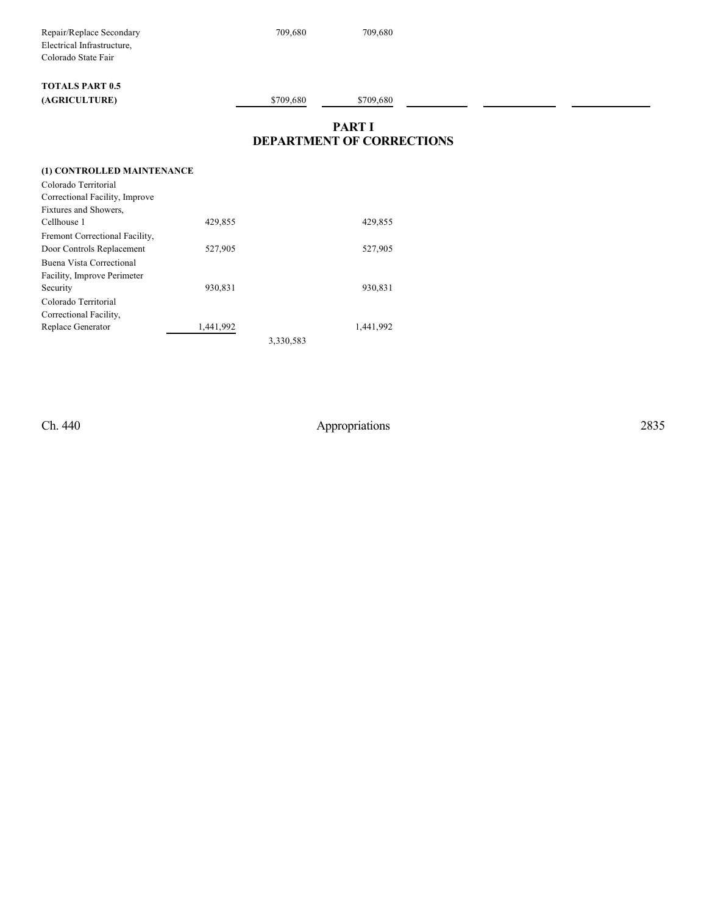| Repair/Replace Secondary<br>Electrical Infrastructure,<br>Colorado State Fair |         | 709,680   | 709,680                                           |  |
|-------------------------------------------------------------------------------|---------|-----------|---------------------------------------------------|--|
| <b>TOTALS PART 0.5</b>                                                        |         |           |                                                   |  |
| (AGRICULTURE)                                                                 |         | \$709,680 | \$709,680                                         |  |
|                                                                               |         |           | <b>PART I</b><br><b>DEPARTMENT OF CORRECTIONS</b> |  |
| (1) CONTROLLED MAINTENANCE                                                    |         |           |                                                   |  |
| Colorado Territorial                                                          |         |           |                                                   |  |
| Correctional Facility, Improve                                                |         |           |                                                   |  |
| Fixtures and Showers,                                                         |         |           |                                                   |  |
| Cellhouse 1                                                                   | 429,855 |           | 429,855                                           |  |
| Fremont Correctional Facility,                                                |         |           |                                                   |  |

Door Controls Replacement 527,905 527,905

Security 930,831 930,831 930,831

Replace Generator 1,441,992 1,441,992

3,330,583

Buena Vista Correctional Facility, Improve Perimeter

Colorado Territorial Correctional Facility,

Ch. 440 Appropriations 2835

 $\overline{\phantom{0}}$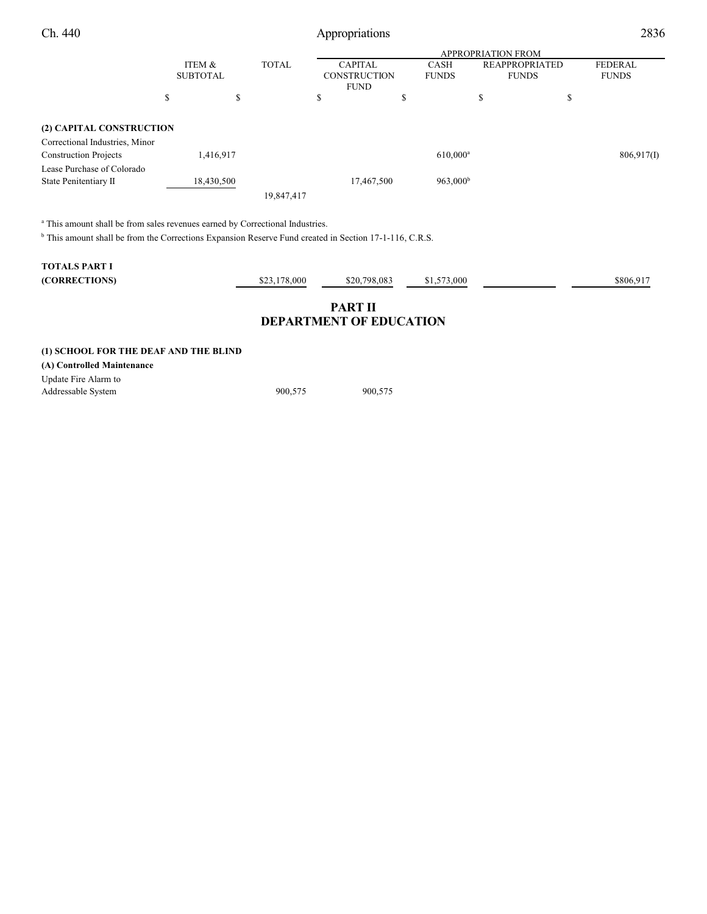|                                |                 |            |              |                     |   |                   | <b>APPROPRIATION FROM</b> |                |
|--------------------------------|-----------------|------------|--------------|---------------------|---|-------------------|---------------------------|----------------|
|                                | ITEM &          |            | <b>TOTAL</b> | <b>CAPITAL</b>      |   | <b>CASH</b>       | <b>REAPPROPRIATED</b>     | <b>FEDERAL</b> |
|                                | <b>SUBTOTAL</b> |            |              | <b>CONSTRUCTION</b> |   | <b>FUNDS</b>      | <b>FUNDS</b>              | <b>FUNDS</b>   |
|                                |                 |            |              | <b>FUND</b>         |   |                   |                           |                |
|                                | S               | S          |              | \$                  | S |                   | S                         | \$             |
|                                |                 |            |              |                     |   |                   |                           |                |
| (2) CAPITAL CONSTRUCTION       |                 |            |              |                     |   |                   |                           |                |
| Correctional Industries, Minor |                 |            |              |                     |   |                   |                           |                |
| <b>Construction Projects</b>   |                 | 1,416,917  |              |                     |   | $610,000^a$       |                           | 806,917(I)     |
| Lease Purchase of Colorado     |                 |            |              |                     |   |                   |                           |                |
| State Penitentiary II          |                 | 18,430,500 |              | 17,467,500          |   | $963,000^{\rm b}$ |                           |                |
|                                |                 |            | 19,847,417   |                     |   |                   |                           |                |
|                                |                 |            |              |                     |   |                   |                           |                |

<sup>a</sup> This amount shall be from sales revenues earned by Correctional Industries.

 $b$  This amount shall be from the Corrections Expansion Reserve Fund created in Section 17-1-116, C.R.S.

| <b>TOTALS PART I</b> |              |              |          |           |
|----------------------|--------------|--------------|----------|-----------|
| (CORRECTIONS)        | \$23,178,000 | \$20,798,083 | .573,000 | \$806.917 |
|                      |              |              |          |           |

#### **PART II DEPARTMENT OF EDUCATION**

#### **(1) SCHOOL FOR THE DEAF AND THE BLIND**

**(A) Controlled Maintenance** Update Fire Alarm to

| Addressable System | 900,575 | 900,575 |
|--------------------|---------|---------|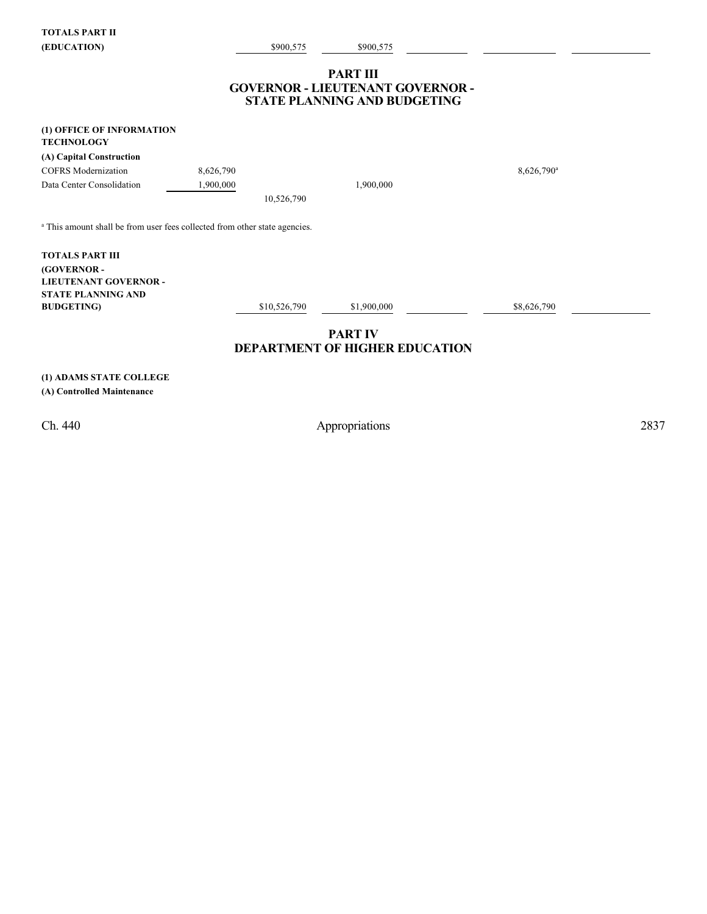| <b>TOTALS PART II</b> |           |           |
|-----------------------|-----------|-----------|
| (EDUCATION)           | \$900,575 | \$900,575 |

#### **PART III GOVERNOR - LIEUTENANT GOVERNOR - STATE PLANNING AND BUDGETING**

|                                                                                       |           |              | STATE PLANNING AND BUDGETING   |               |  |
|---------------------------------------------------------------------------------------|-----------|--------------|--------------------------------|---------------|--|
| (1) OFFICE OF INFORMATION<br><b>TECHNOLOGY</b>                                        |           |              |                                |               |  |
| (A) Capital Construction                                                              |           |              |                                |               |  |
| <b>COFRS</b> Modernization                                                            | 8,626,790 |              |                                | $8,626,790^a$ |  |
| Data Center Consolidation                                                             | 1,900,000 |              | 1,900,000                      |               |  |
|                                                                                       |           | 10,526,790   |                                |               |  |
| <sup>a</sup> This amount shall be from user fees collected from other state agencies. |           |              |                                |               |  |
| <b>TOTALS PART III</b>                                                                |           |              |                                |               |  |
| (GOVERNOR-                                                                            |           |              |                                |               |  |
| <b>LIEUTENANT GOVERNOR -</b>                                                          |           |              |                                |               |  |
| <b>STATE PLANNING AND</b>                                                             |           |              |                                |               |  |
| <b>BUDGETING</b> )                                                                    |           | \$10,526,790 | \$1,900,000                    | \$8,626,790   |  |
|                                                                                       |           |              | <b>PART IV</b>                 |               |  |
|                                                                                       |           |              | DEPARTMENT OF HIGHER EDUCATION |               |  |

**(1) ADAMS STATE COLLEGE (A) Controlled Maintenance**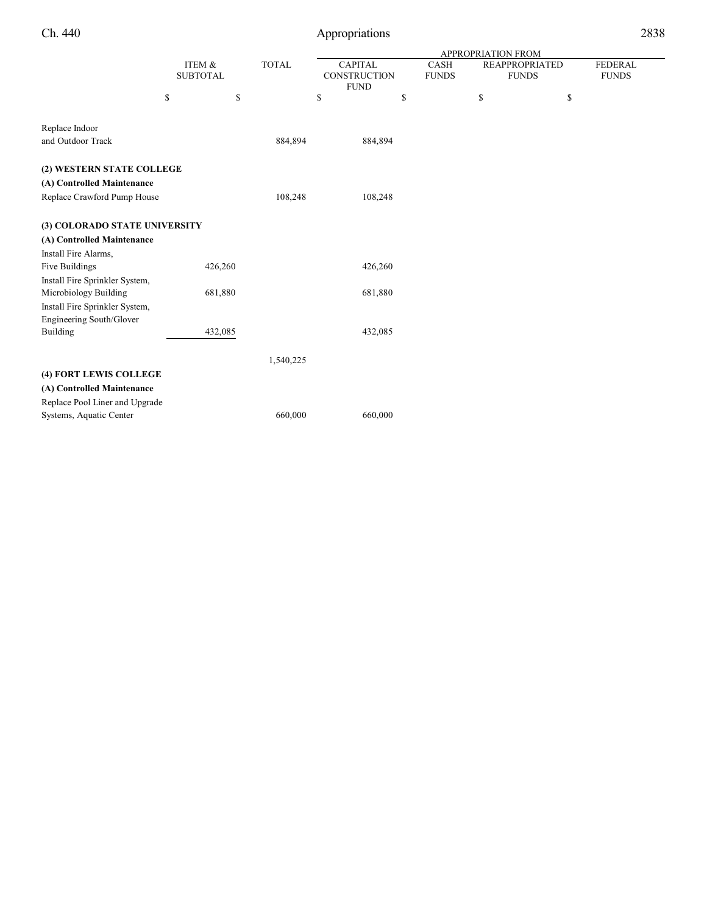|                                |    |                 |              | <b>APPROPRIATION FROM</b> |    |              |                       |    |                |  |
|--------------------------------|----|-----------------|--------------|---------------------------|----|--------------|-----------------------|----|----------------|--|
|                                |    | ITEM &          | <b>TOTAL</b> | <b>CAPITAL</b>            |    | CASH         | <b>REAPPROPRIATED</b> |    | <b>FEDERAL</b> |  |
|                                |    | <b>SUBTOTAL</b> |              | CONSTRUCTION              |    | <b>FUNDS</b> | <b>FUNDS</b>          |    | <b>FUNDS</b>   |  |
|                                |    |                 |              | <b>FUND</b>               |    |              |                       |    |                |  |
|                                | \$ | \$              |              | \$                        | \$ |              | \$                    | \$ |                |  |
|                                |    |                 |              |                           |    |              |                       |    |                |  |
| Replace Indoor                 |    |                 |              |                           |    |              |                       |    |                |  |
| and Outdoor Track              |    |                 | 884,894      | 884,894                   |    |              |                       |    |                |  |
|                                |    |                 |              |                           |    |              |                       |    |                |  |
| (2) WESTERN STATE COLLEGE      |    |                 |              |                           |    |              |                       |    |                |  |
| (A) Controlled Maintenance     |    |                 |              |                           |    |              |                       |    |                |  |
| Replace Crawford Pump House    |    |                 | 108,248      | 108,248                   |    |              |                       |    |                |  |
| (3) COLORADO STATE UNIVERSITY  |    |                 |              |                           |    |              |                       |    |                |  |
| (A) Controlled Maintenance     |    |                 |              |                           |    |              |                       |    |                |  |
|                                |    |                 |              |                           |    |              |                       |    |                |  |
| Install Fire Alarms,           |    |                 |              |                           |    |              |                       |    |                |  |
| Five Buildings                 |    | 426,260         |              | 426,260                   |    |              |                       |    |                |  |
| Install Fire Sprinkler System, |    |                 |              |                           |    |              |                       |    |                |  |
| Microbiology Building          |    | 681,880         |              | 681,880                   |    |              |                       |    |                |  |
| Install Fire Sprinkler System, |    |                 |              |                           |    |              |                       |    |                |  |
| Engineering South/Glover       |    |                 |              |                           |    |              |                       |    |                |  |
| Building                       |    | 432,085         |              | 432,085                   |    |              |                       |    |                |  |
|                                |    |                 | 1,540,225    |                           |    |              |                       |    |                |  |
| (4) FORT LEWIS COLLEGE         |    |                 |              |                           |    |              |                       |    |                |  |
| (A) Controlled Maintenance     |    |                 |              |                           |    |              |                       |    |                |  |
|                                |    |                 |              |                           |    |              |                       |    |                |  |
| Replace Pool Liner and Upgrade |    |                 |              |                           |    |              |                       |    |                |  |
| Systems, Aquatic Center        |    |                 | 660,000      | 660,000                   |    |              |                       |    |                |  |
|                                |    |                 |              |                           |    |              |                       |    |                |  |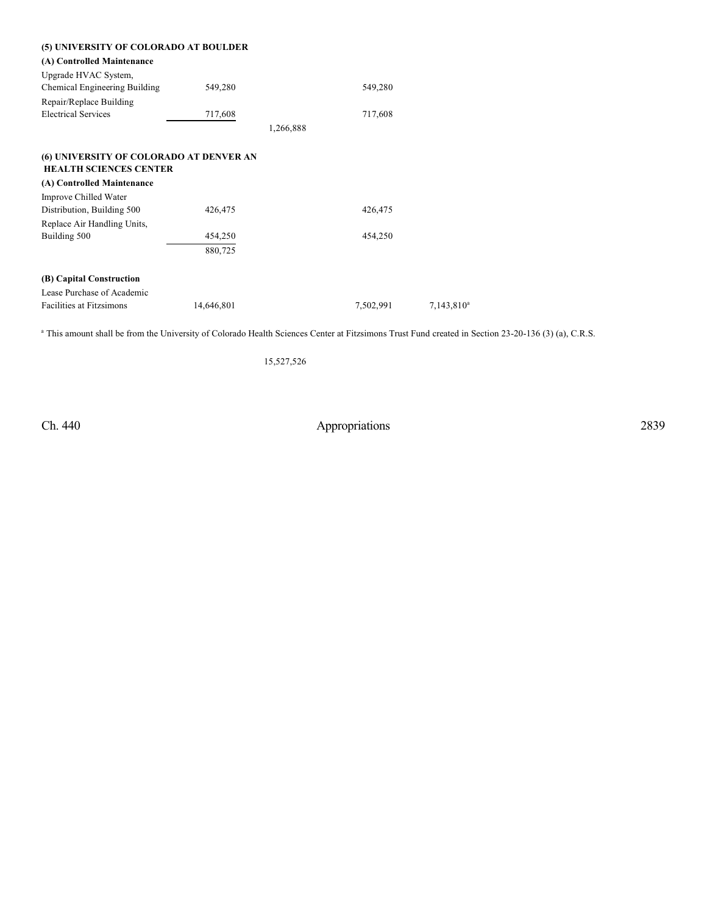| (5) UNIVERSITY OF COLORADO AT BOULDER   |            |           |               |
|-----------------------------------------|------------|-----------|---------------|
| (A) Controlled Maintenance              |            |           |               |
| Upgrade HVAC System,                    |            |           |               |
| Chemical Engineering Building           | 549,280    | 549,280   |               |
| Repair/Replace Building                 |            |           |               |
| <b>Electrical Services</b>              | 717,608    | 717,608   |               |
|                                         |            | 1,266,888 |               |
| (6) UNIVERSITY OF COLORADO AT DENVER AN |            |           |               |
| <b>HEALTH SCIENCES CENTER</b>           |            |           |               |
| (A) Controlled Maintenance              |            |           |               |
| Improve Chilled Water                   |            |           |               |
| Distribution, Building 500              | 426,475    | 426,475   |               |
| Replace Air Handling Units,             |            |           |               |
| Building 500                            | 454,250    | 454,250   |               |
|                                         | 880,725    |           |               |
| (B) Capital Construction                |            |           |               |
| Lease Purchase of Academic              |            |           |               |
| <b>Facilities at Fitzsimons</b>         | 14,646,801 | 7,502,991 | $7,143,810^a$ |

<sup>a</sup> This amount shall be from the University of Colorado Health Sciences Center at Fitzsimons Trust Fund created in Section 23-20-136 (3) (a), C.R.S.

15,527,526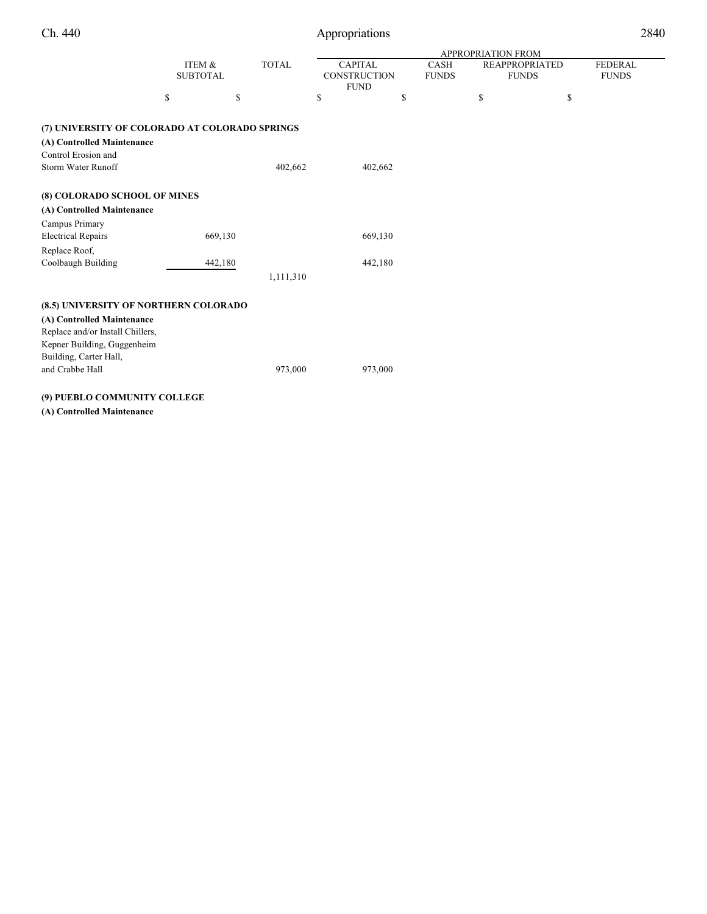|                                                |                 |              |                |              | <b>APPROPRIATION FROM</b> |                |
|------------------------------------------------|-----------------|--------------|----------------|--------------|---------------------------|----------------|
|                                                | ITEM &          | <b>TOTAL</b> | <b>CAPITAL</b> | CASH         | <b>REAPPROPRIATED</b>     | <b>FEDERAL</b> |
|                                                | <b>SUBTOTAL</b> |              | CONSTRUCTION   | <b>FUNDS</b> | <b>FUNDS</b>              | <b>FUNDS</b>   |
|                                                |                 |              | <b>FUND</b>    |              |                           |                |
|                                                | \$              | \$           | \$             | \$           | \$                        | \$             |
|                                                |                 |              |                |              |                           |                |
| (7) UNIVERSITY OF COLORADO AT COLORADO SPRINGS |                 |              |                |              |                           |                |
| (A) Controlled Maintenance                     |                 |              |                |              |                           |                |
| Control Erosion and                            |                 |              |                |              |                           |                |
| Storm Water Runoff                             |                 | 402,662      | 402,662        |              |                           |                |
|                                                |                 |              |                |              |                           |                |
| (8) COLORADO SCHOOL OF MINES                   |                 |              |                |              |                           |                |
| (A) Controlled Maintenance                     |                 |              |                |              |                           |                |
| Campus Primary                                 |                 |              |                |              |                           |                |
| <b>Electrical Repairs</b>                      | 669,130         |              | 669,130        |              |                           |                |
| Replace Roof,                                  |                 |              |                |              |                           |                |
| Coolbaugh Building                             | 442,180         |              | 442,180        |              |                           |                |
|                                                |                 | 1,111,310    |                |              |                           |                |
|                                                |                 |              |                |              |                           |                |
| (8.5) UNIVERSITY OF NORTHERN COLORADO          |                 |              |                |              |                           |                |
| (A) Controlled Maintenance                     |                 |              |                |              |                           |                |
| Replace and/or Install Chillers,               |                 |              |                |              |                           |                |
| Kepner Building, Guggenheim                    |                 |              |                |              |                           |                |
| Building, Carter Hall,                         |                 |              |                |              |                           |                |
| and Crabbe Hall                                |                 | 973,000      | 973,000        |              |                           |                |
|                                                |                 |              |                |              |                           |                |
| (9) PUEBLO COMMUNITY COLLEGE                   |                 |              |                |              |                           |                |

**(A) Controlled Maintenance**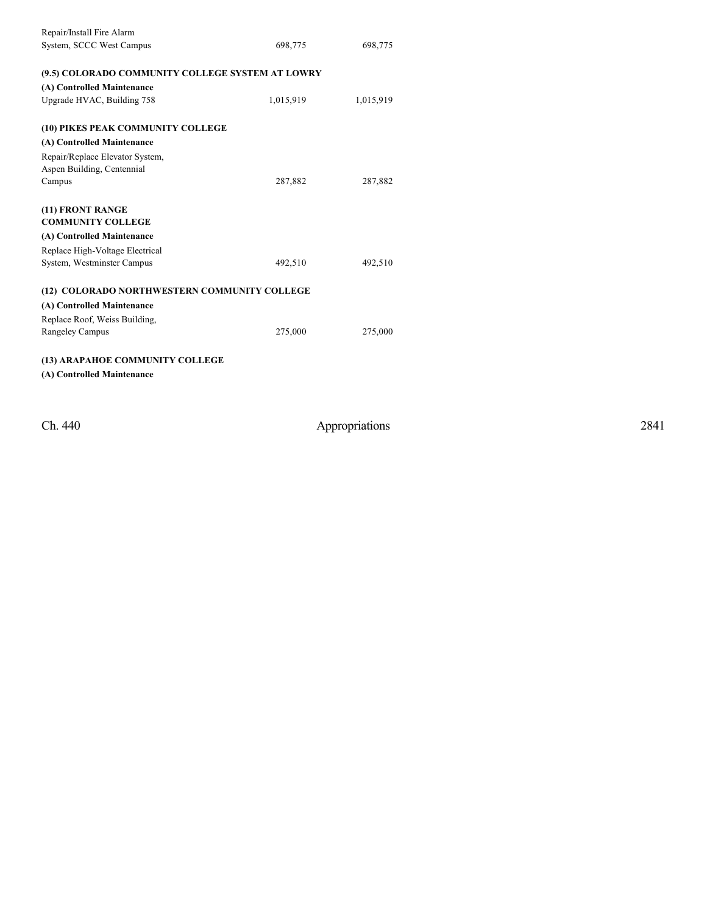| Repair/Install Fire Alarm                        |           |           |
|--------------------------------------------------|-----------|-----------|
| System, SCCC West Campus                         | 698,775   | 698,775   |
|                                                  |           |           |
| (9.5) COLORADO COMMUNITY COLLEGE SYSTEM AT LOWRY |           |           |
| (A) Controlled Maintenance                       |           |           |
| Upgrade HVAC, Building 758                       | 1,015,919 | 1,015,919 |
| (10) PIKES PEAK COMMUNITY COLLEGE                |           |           |
| (A) Controlled Maintenance                       |           |           |
| Repair/Replace Elevator System,                  |           |           |
| Aspen Building, Centennial                       |           |           |
| Campus                                           | 287,882   | 287,882   |
|                                                  |           |           |
| (11) FRONT RANGE                                 |           |           |
| <b>COMMUNITY COLLEGE</b>                         |           |           |
| (A) Controlled Maintenance                       |           |           |
| Replace High-Voltage Electrical                  |           |           |
| System, Westminster Campus                       | 492,510   | 492,510   |
| (12) COLORADO NORTHWESTERN COMMUNITY COLLEGE     |           |           |
| (A) Controlled Maintenance                       |           |           |
| Replace Roof, Weiss Building,                    |           |           |
| Rangeley Campus                                  | 275,000   | 275,000   |
|                                                  |           |           |
| (13) ARAPAHOE COMMUNITY COLLEGE                  |           |           |
| (A) Controlled Maintenance                       |           |           |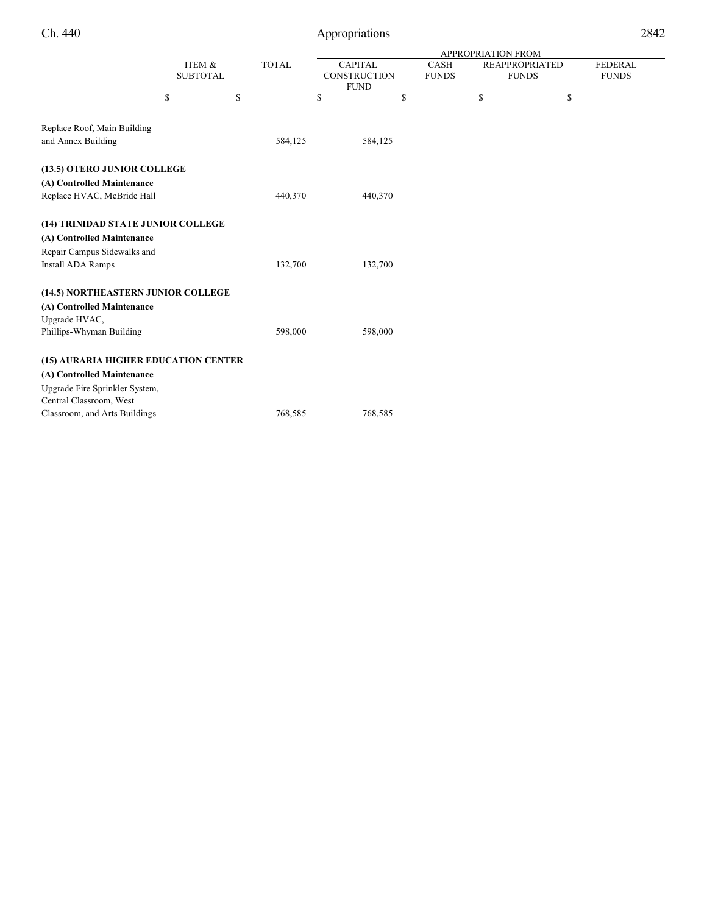|                                      |                 |              | <b>APPROPRIATION FROM</b> |              |                       |                |  |  |
|--------------------------------------|-----------------|--------------|---------------------------|--------------|-----------------------|----------------|--|--|
|                                      | ITEM &          | <b>TOTAL</b> | <b>CAPITAL</b>            | <b>CASH</b>  | <b>REAPPROPRIATED</b> | <b>FEDERAL</b> |  |  |
|                                      | <b>SUBTOTAL</b> |              | CONSTRUCTION              | <b>FUNDS</b> | <b>FUNDS</b>          | <b>FUNDS</b>   |  |  |
|                                      |                 |              | <b>FUND</b>               |              |                       |                |  |  |
|                                      | \$              | \$           | \$                        | \$           | \$                    | \$             |  |  |
|                                      |                 |              |                           |              |                       |                |  |  |
|                                      |                 |              |                           |              |                       |                |  |  |
| Replace Roof, Main Building          |                 |              |                           |              |                       |                |  |  |
| and Annex Building                   |                 | 584,125      | 584,125                   |              |                       |                |  |  |
|                                      |                 |              |                           |              |                       |                |  |  |
| (13.5) OTERO JUNIOR COLLEGE          |                 |              |                           |              |                       |                |  |  |
| (A) Controlled Maintenance           |                 |              |                           |              |                       |                |  |  |
| Replace HVAC, McBride Hall           |                 | 440,370      | 440,370                   |              |                       |                |  |  |
|                                      |                 |              |                           |              |                       |                |  |  |
| (14) TRINIDAD STATE JUNIOR COLLEGE   |                 |              |                           |              |                       |                |  |  |
| (A) Controlled Maintenance           |                 |              |                           |              |                       |                |  |  |
| Repair Campus Sidewalks and          |                 |              |                           |              |                       |                |  |  |
| <b>Install ADA Ramps</b>             |                 | 132,700      | 132,700                   |              |                       |                |  |  |
|                                      |                 |              |                           |              |                       |                |  |  |
| (14.5) NORTHEASTERN JUNIOR COLLEGE   |                 |              |                           |              |                       |                |  |  |
| (A) Controlled Maintenance           |                 |              |                           |              |                       |                |  |  |
| Upgrade HVAC,                        |                 |              |                           |              |                       |                |  |  |
| Phillips-Whyman Building             |                 | 598,000      | 598,000                   |              |                       |                |  |  |
|                                      |                 |              |                           |              |                       |                |  |  |
| (15) AURARIA HIGHER EDUCATION CENTER |                 |              |                           |              |                       |                |  |  |
| (A) Controlled Maintenance           |                 |              |                           |              |                       |                |  |  |
| Upgrade Fire Sprinkler System,       |                 |              |                           |              |                       |                |  |  |
| Central Classroom, West              |                 |              |                           |              |                       |                |  |  |
| Classroom, and Arts Buildings        |                 | 768,585      | 768,585                   |              |                       |                |  |  |
|                                      |                 |              |                           |              |                       |                |  |  |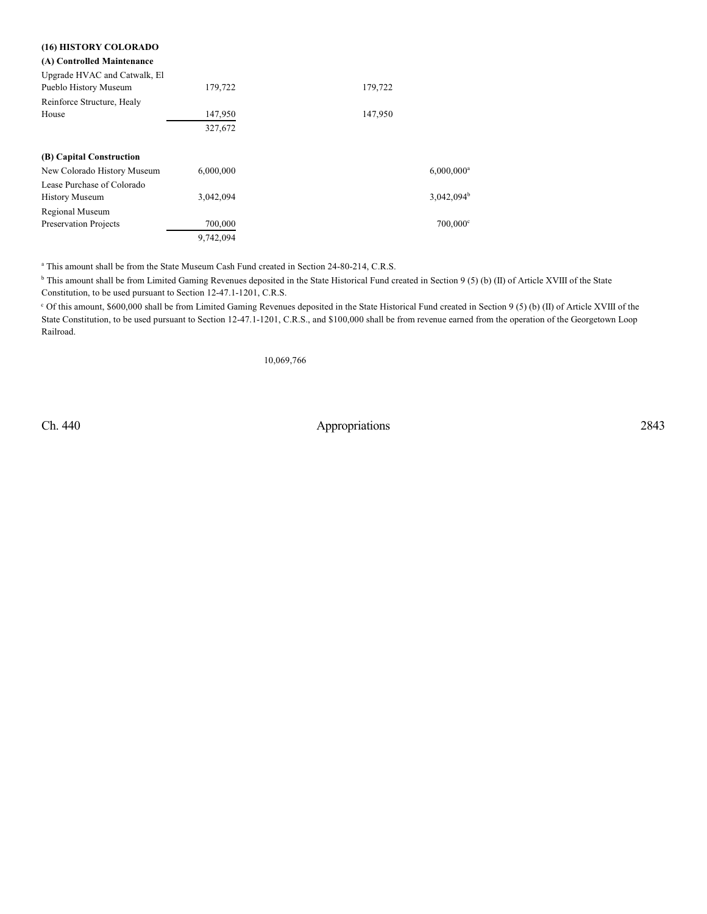#### **(16) HISTORY COLORADO**

**(A) Controlled Maintenance**

Regional Museum

Preservation Projects 700,000

| Upgrade HVAC and Catwalk, El |           |               |
|------------------------------|-----------|---------------|
| Pueblo History Museum        | 179,722   | 179,722       |
| Reinforce Structure, Healy   |           |               |
| House                        | 147,950   | 147,950       |
|                              | 327,672   |               |
| (B) Capital Construction     |           |               |
| New Colorado History Museum  | 6,000,000 | $6,000,000^a$ |
| Lease Purchase of Colorado   |           |               |
| <b>History Museum</b>        | 3.042.094 | $3,042,094^b$ |

<sup>a</sup> This amount shall be from the State Museum Cash Fund created in Section 24-80-214, C.R.S.

9,742,094

<sup>b</sup> This amount shall be from Limited Gaming Revenues deposited in the State Historical Fund created in Section 9 (5) (b) (II) of Article XVIII of the State Constitution, to be used pursuant to Section 12-47.1-1201, C.R.S.

 Of this amount, \$600,000 shall be from Limited Gaming Revenues deposited in the State Historical Fund created in Section 9 (5) (b) (II) of Article XVIII of the <sup>c</sup> State Constitution, to be used pursuant to Section 12-47.1-1201, C.R.S., and \$100,000 shall be from revenue earned from the operation of the Georgetown Loop Railroad.

 $700,000$ c

10,069,766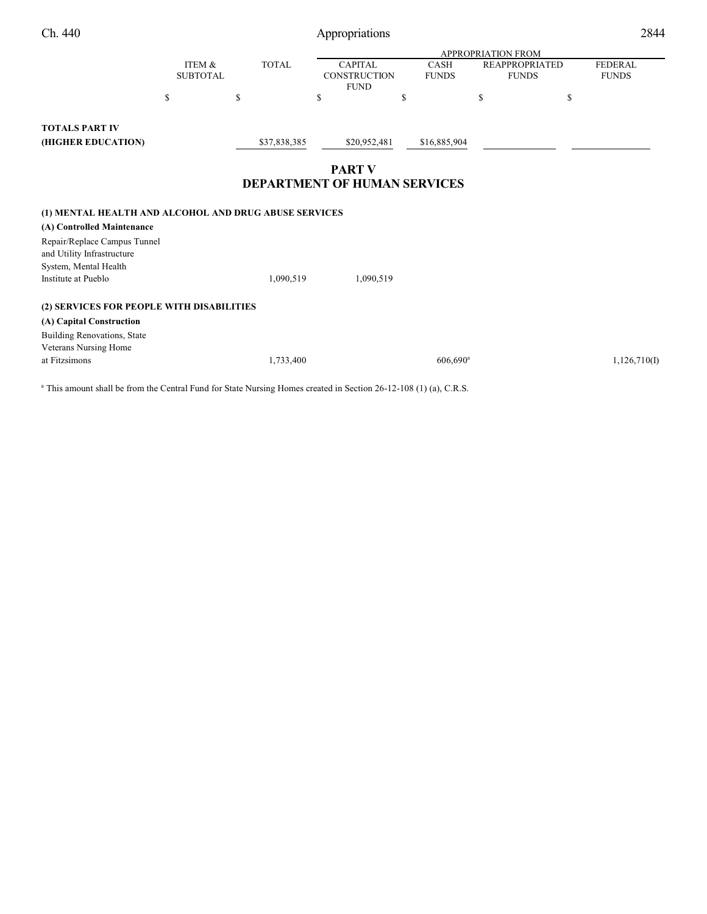|                                                                                     |                           |              |                                                      |                             | <b>APPROPRIATION FROM</b>             |                                |
|-------------------------------------------------------------------------------------|---------------------------|--------------|------------------------------------------------------|-----------------------------|---------------------------------------|--------------------------------|
|                                                                                     | ITEM &<br><b>SUBTOTAL</b> | <b>TOTAL</b> | <b>CAPITAL</b><br>CONSTRUCTION<br><b>FUND</b>        | <b>CASH</b><br><b>FUNDS</b> | <b>REAPPROPRIATED</b><br><b>FUNDS</b> | <b>FEDERAL</b><br><b>FUNDS</b> |
|                                                                                     | \$                        | \$           | \$                                                   | \$                          | \$<br>\$                              |                                |
| <b>TOTALS PART IV</b><br>(HIGHER EDUCATION)                                         |                           | \$37,838,385 | \$20,952,481                                         | \$16,885,904                |                                       |                                |
|                                                                                     |                           |              | <b>PART V</b><br><b>DEPARTMENT OF HUMAN SERVICES</b> |                             |                                       |                                |
| (1) MENTAL HEALTH AND ALCOHOL AND DRUG ABUSE SERVICES                               |                           |              |                                                      |                             |                                       |                                |
| (A) Controlled Maintenance                                                          |                           |              |                                                      |                             |                                       |                                |
| Repair/Replace Campus Tunnel<br>and Utility Infrastructure<br>System, Mental Health |                           |              |                                                      |                             |                                       |                                |
| Institute at Pueblo                                                                 |                           | 1,090,519    | 1,090,519                                            |                             |                                       |                                |
| (2) SERVICES FOR PEOPLE WITH DISABILITIES                                           |                           |              |                                                      |                             |                                       |                                |
| (A) Capital Construction                                                            |                           |              |                                                      |                             |                                       |                                |
| Building Renovations, State<br>Veterans Nursing Home                                |                           |              |                                                      |                             |                                       |                                |
| at Fitzsimons                                                                       |                           | 1,733,400    |                                                      | 606,690 <sup>a</sup>        |                                       | 1,126,710(I)                   |

<sup>a</sup> This amount shall be from the Central Fund for State Nursing Homes created in Section 26-12-108 (1) (a), C.R.S.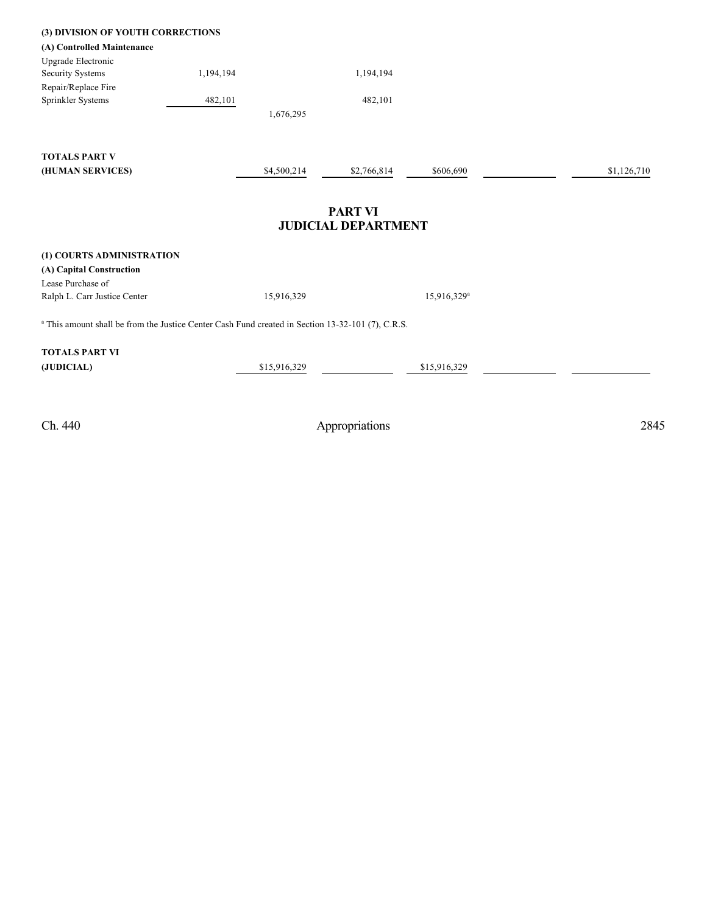| (3) DIVISION OF YOUTH CORRECTIONS                                                                            |           |              |                            |                         |             |
|--------------------------------------------------------------------------------------------------------------|-----------|--------------|----------------------------|-------------------------|-------------|
| (A) Controlled Maintenance                                                                                   |           |              |                            |                         |             |
| Upgrade Electronic                                                                                           |           |              |                            |                         |             |
| Security Systems                                                                                             | 1,194,194 |              | 1,194,194                  |                         |             |
| Repair/Replace Fire                                                                                          |           |              |                            |                         |             |
| Sprinkler Systems                                                                                            | 482,101   |              | 482,101                    |                         |             |
|                                                                                                              |           | 1,676,295    |                            |                         |             |
|                                                                                                              |           |              |                            |                         |             |
| <b>TOTALS PART V</b>                                                                                         |           |              |                            |                         |             |
| (HUMAN SERVICES)                                                                                             |           | \$4,500,214  | \$2,766,814                | \$606,690               | \$1,126,710 |
|                                                                                                              |           |              |                            |                         |             |
|                                                                                                              |           |              | <b>PART VI</b>             |                         |             |
|                                                                                                              |           |              | <b>JUDICIAL DEPARTMENT</b> |                         |             |
| (1) COURTS ADMINISTRATION                                                                                    |           |              |                            |                         |             |
| (A) Capital Construction                                                                                     |           |              |                            |                         |             |
| Lease Purchase of                                                                                            |           |              |                            |                         |             |
| Ralph L. Carr Justice Center                                                                                 |           | 15,916,329   |                            | 15,916,329 <sup>a</sup> |             |
| <sup>a</sup> This amount shall be from the Justice Center Cash Fund created in Section 13-32-101 (7), C.R.S. |           |              |                            |                         |             |
| <b>TOTALS PART VI</b>                                                                                        |           |              |                            |                         |             |
| (JUDICIAL)                                                                                                   |           | \$15,916,329 |                            | \$15,916,329            |             |
|                                                                                                              |           |              |                            |                         |             |
|                                                                                                              |           |              |                            |                         |             |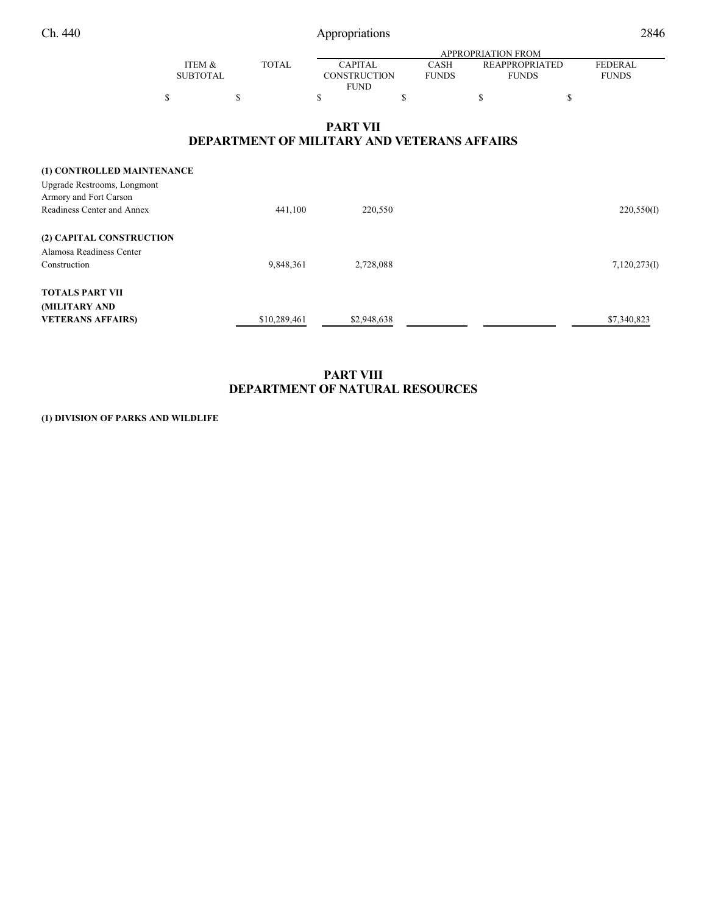|                   |              |                |              | APPROPRIATION FROM |                |
|-------------------|--------------|----------------|--------------|--------------------|----------------|
| <b>ITEM &amp;</b> | <b>TOTAL</b> | <b>CAPITAL</b> | CASH         | REAPPROPRIATED     | <b>FEDERAL</b> |
| <b>SUBTOTAL</b>   |              | CONSTRUCTION   | <b>FUNDS</b> | <b>FUNDS</b>       | <b>FUNDS</b>   |
|                   |              | <b>FUND</b>    |              |                    |                |
|                   |              |                |              |                    |                |

#### **PART VII DEPARTMENT OF MILITARY AND VETERANS AFFAIRS**

| (1) CONTROLLED MAINTENANCE  |              |             |              |
|-----------------------------|--------------|-------------|--------------|
| Upgrade Restrooms, Longmont |              |             |              |
| Armory and Fort Carson      |              |             |              |
| Readiness Center and Annex  | 441,100      | 220,550     | 220,550(I)   |
| (2) CAPITAL CONSTRUCTION    |              |             |              |
| Alamosa Readiness Center    |              |             |              |
| Construction                | 9,848,361    | 2,728,088   | 7,120,273(I) |
| <b>TOTALS PART VII</b>      |              |             |              |
| (MILITARY AND               |              |             |              |
| <b>VETERANS AFFAIRS)</b>    | \$10,289,461 | \$2,948,638 | \$7,340,823  |

### **PART VIII DEPARTMENT OF NATURAL RESOURCES**

**(1) DIVISION OF PARKS AND WILDLIFE**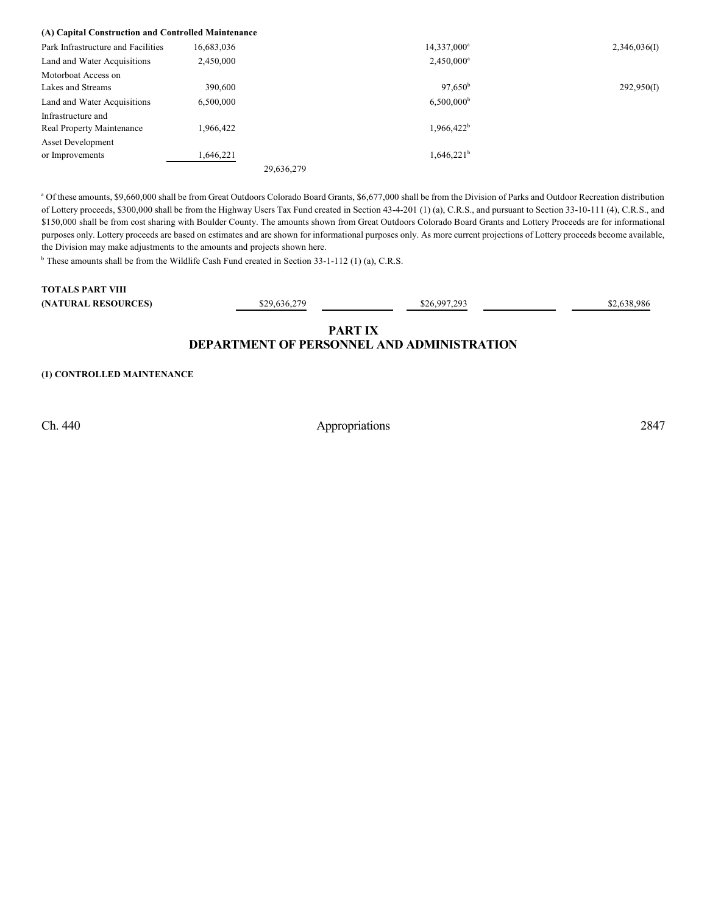| (A) Capital Construction and Controlled Maintenance |            |                         |              |
|-----------------------------------------------------|------------|-------------------------|--------------|
| Park Infrastructure and Facilities                  | 16,683,036 | 14,337,000 <sup>a</sup> | 2,346,036(I) |
| Land and Water Acquisitions                         | 2,450,000  | $2,450,000^a$           |              |
| Motorboat Access on                                 |            |                         |              |
| Lakes and Streams                                   | 390,600    | 97.650 <sup>b</sup>     | 292,950(I)   |
| Land and Water Acquisitions                         | 6.500,000  | 6.500.000 <sup>b</sup>  |              |
| Infrastructure and                                  |            |                         |              |
| Real Property Maintenance                           | 1,966,422  | $1.966.422^b$           |              |
| <b>Asset Development</b>                            |            |                         |              |
| or Improvements                                     | 1,646,221  | $1,646,221^{\rm b}$     |              |
|                                                     |            | 29,636,279              |              |

a Of these amounts, \$9,660,000 shall be from Great Outdoors Colorado Board Grants, \$6,677,000 shall be from the Division of Parks and Outdoor Recreation distribution of Lottery proceeds, \$300,000 shall be from the Highway Users Tax Fund created in Section 43-4-201 (1) (a), C.R.S., and pursuant to Section 33-10-111 (4), C.R.S., and \$150,000 shall be from cost sharing with Boulder County. The amounts shown from Great Outdoors Colorado Board Grants and Lottery Proceeds are for informational purposes only. Lottery proceeds are based on estimates and are shown for informational purposes only. As more current projections of Lottery proceeds become available, the Division may make adjustments to the amounts and projects shown here.

<sup>b</sup> These amounts shall be from the Wildlife Cash Fund created in Section 33-1-112 (1) (a), C.R.S.

# **TOTALS PART VIII**

**(NATURAL RESOURCES)** \$29,636,279 \$26,997,293 \$2,638,986

### **PART IX DEPARTMENT OF PERSONNEL AND ADMINISTRATION**

#### **(1) CONTROLLED MAINTENANCE**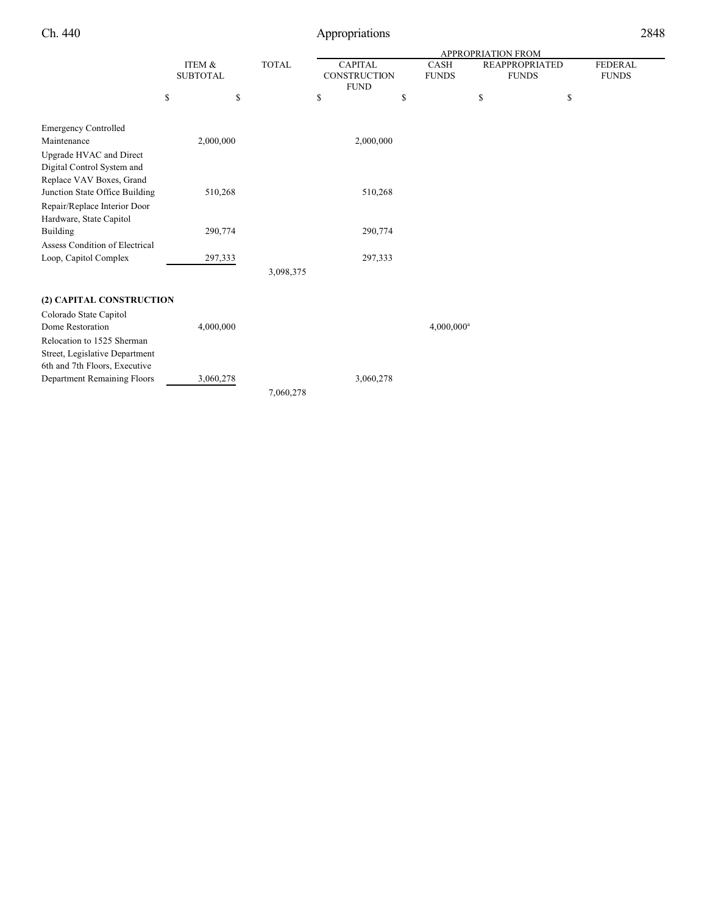|                                                                                                                                             |                           |              | <b>APPROPRIATION FROM</b> |                                               |               |                                       |    |                                |
|---------------------------------------------------------------------------------------------------------------------------------------------|---------------------------|--------------|---------------------------|-----------------------------------------------|---------------|---------------------------------------|----|--------------------------------|
|                                                                                                                                             | ITEM &<br><b>SUBTOTAL</b> | <b>TOTAL</b> |                           | <b>CAPITAL</b><br>CONSTRUCTION<br><b>FUND</b> |               | <b>REAPPROPRIATED</b><br><b>FUNDS</b> |    | <b>FEDERAL</b><br><b>FUNDS</b> |
|                                                                                                                                             | \$                        | \$           | \$                        | \$                                            |               | \$                                    | \$ |                                |
| <b>Emergency Controlled</b><br>Maintenance                                                                                                  | 2,000,000                 |              |                           | 2,000,000                                     |               |                                       |    |                                |
| Upgrade HVAC and Direct<br>Digital Control System and<br>Replace VAV Boxes, Grand<br>Junction State Office Building                         | 510,268                   |              |                           | 510,268                                       |               |                                       |    |                                |
| Repair/Replace Interior Door<br>Hardware, State Capitol<br>Building                                                                         | 290,774                   |              |                           | 290,774                                       |               |                                       |    |                                |
| Assess Condition of Electrical<br>Loop, Capitol Complex                                                                                     | 297,333                   | 3,098,375    |                           | 297,333                                       |               |                                       |    |                                |
| (2) CAPITAL CONSTRUCTION                                                                                                                    |                           |              |                           |                                               |               |                                       |    |                                |
| Colorado State Capitol<br>Dome Restoration<br>Relocation to 1525 Sherman<br>Street, Legislative Department<br>6th and 7th Floors, Executive | 4,000,000                 |              |                           |                                               | $4,000,000^a$ |                                       |    |                                |
| Department Remaining Floors                                                                                                                 | 3,060,278                 | 7,060,278    |                           | 3,060,278                                     |               |                                       |    |                                |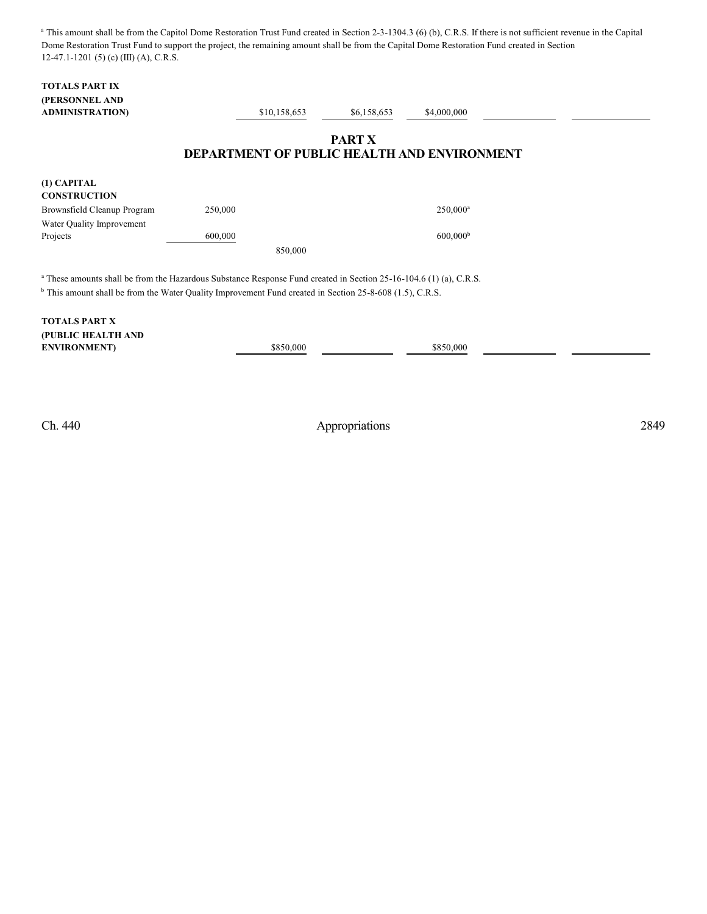<sup>a</sup> This amount shall be from the Capitol Dome Restoration Trust Fund created in Section 2-3-1304.3 (6) (b), C.R.S. If there is not sufficient revenue in the Capital Dome Restoration Trust Fund to support the project, the remaining amount shall be from the Capital Dome Restoration Fund created in Section 12-47.1-1201 (5) (c) (III) (A), C.R.S.

| <b>TOTALS PART IX</b>                    |                                                                                                                               |               |                      |  |
|------------------------------------------|-------------------------------------------------------------------------------------------------------------------------------|---------------|----------------------|--|
| (PERSONNEL AND<br><b>ADMINISTRATION)</b> | \$10,158,653                                                                                                                  | \$6,158,653   | \$4,000,000          |  |
|                                          |                                                                                                                               |               |                      |  |
|                                          |                                                                                                                               | <b>PART X</b> |                      |  |
|                                          | <b>DEPARTMENT OF PUBLIC HEALTH AND ENVIRONMENT</b>                                                                            |               |                      |  |
| (1) CAPITAL<br><b>CONSTRUCTION</b>       |                                                                                                                               |               |                      |  |
| Brownsfield Cleanup Program              | 250,000                                                                                                                       |               | $250,000^a$          |  |
| Water Quality Improvement                |                                                                                                                               |               |                      |  |
| Projects                                 | 600,000                                                                                                                       |               | 600,000 <sup>b</sup> |  |
|                                          | 850,000                                                                                                                       |               |                      |  |
|                                          | <sup>a</sup> These amounts shall be from the Hazardous Substance Response Fund created in Section 25-16-104.6 (1) (a), C.R.S. |               |                      |  |
|                                          | $b$ This amount shall be from the Water Quality Improvement Fund created in Section 25-8-608 (1.5), C.R.S.                    |               |                      |  |
| <b>TOTALS PART X</b>                     |                                                                                                                               |               |                      |  |
| (PUBLIC HEALTH AND                       |                                                                                                                               |               |                      |  |
| <b>ENVIRONMENT</b> )                     | \$850,000                                                                                                                     |               | \$850,000            |  |
|                                          |                                                                                                                               |               |                      |  |
|                                          |                                                                                                                               |               |                      |  |
|                                          |                                                                                                                               |               |                      |  |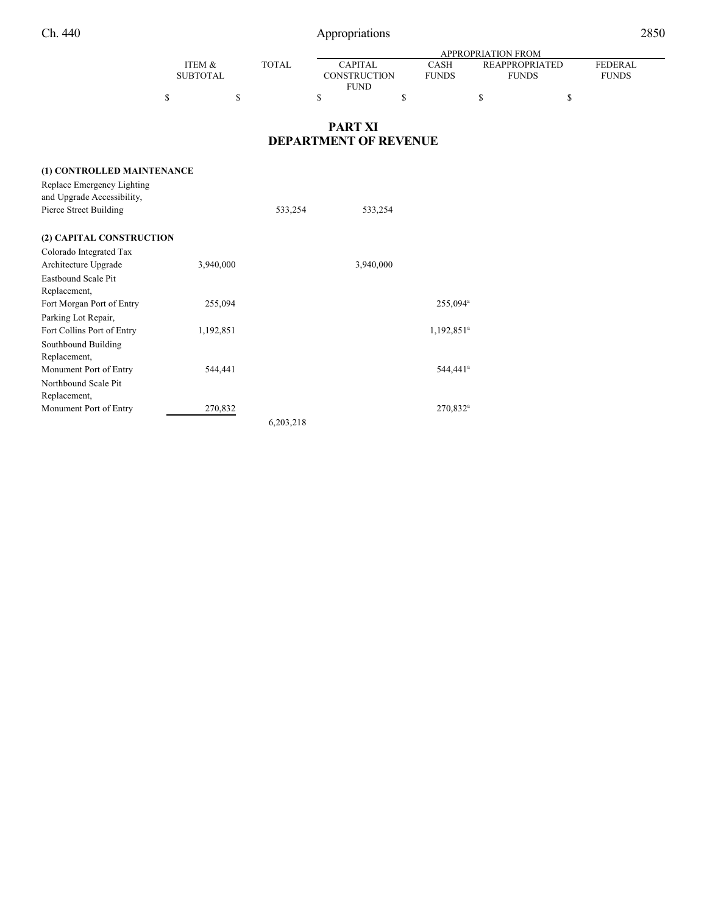|                 |       | <b>APPROPRIATION FROM</b> |              |                |                |  |  |
|-----------------|-------|---------------------------|--------------|----------------|----------------|--|--|
| ITEM &          | TOTAL | <b>CAPITAL</b>            | <b>CASH</b>  | REAPPROPRIATED | <b>FEDERAL</b> |  |  |
| <b>SUBTOTAL</b> |       |                           | <b>FUNDS</b> | <b>FUNDS</b>   | <b>FUNDS</b>   |  |  |
|                 |       | <b>FUND</b>               |              |                |                |  |  |
|                 |       |                           |              |                |                |  |  |
|                 |       |                           |              |                |                |  |  |

#### **PART XI DEPARTMENT OF REVENUE**

| (1) CONTROLLED MAINTENANCE |           |           |           |                        |
|----------------------------|-----------|-----------|-----------|------------------------|
| Replace Emergency Lighting |           |           |           |                        |
| and Upgrade Accessibility, |           |           |           |                        |
| Pierce Street Building     |           | 533,254   | 533,254   |                        |
| (2) CAPITAL CONSTRUCTION   |           |           |           |                        |
| Colorado Integrated Tax    |           |           |           |                        |
| Architecture Upgrade       | 3,940,000 |           | 3,940,000 |                        |
| Eastbound Scale Pit        |           |           |           |                        |
| Replacement,               |           |           |           |                        |
| Fort Morgan Port of Entry  | 255,094   |           |           | $255,094^{\rm a}$      |
| Parking Lot Repair,        |           |           |           |                        |
| Fort Collins Port of Entry | 1,192,851 |           |           | 1,192,851 <sup>a</sup> |
| Southbound Building        |           |           |           |                        |
| Replacement,               |           |           |           |                        |
| Monument Port of Entry     | 544,441   |           |           | 544,441 <sup>a</sup>   |
| Northbound Scale Pit       |           |           |           |                        |
| Replacement,               |           |           |           |                        |
| Monument Port of Entry     | 270,832   |           |           | $270,832$ <sup>a</sup> |
|                            |           | 6,203,218 |           |                        |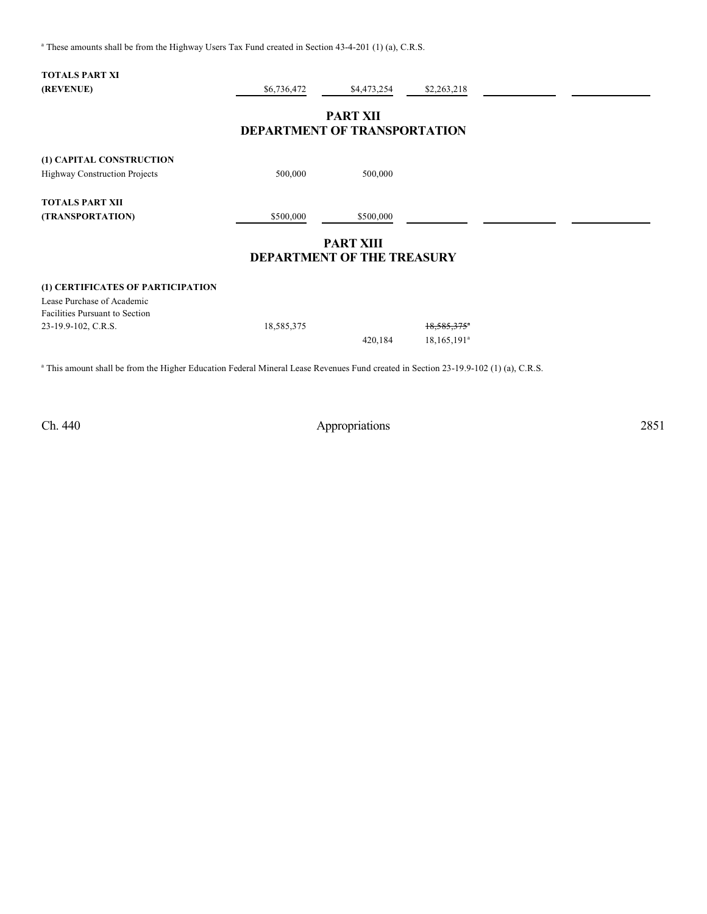$^{\circ}$  These amounts shall be from the Highway Users Tax Fund created in Section 43-4-201 (1) (a), C.R.S.

| <b>TOTALS PART XI</b>                                                                                                                          |                                   |                  |                           |  |
|------------------------------------------------------------------------------------------------------------------------------------------------|-----------------------------------|------------------|---------------------------|--|
| (REVENUE)                                                                                                                                      | \$6,736,472                       | \$4,473,254      | \$2,263,218               |  |
|                                                                                                                                                | DEPARTMENT OF TRANSPORTATION      | PART XII         |                           |  |
| (1) CAPITAL CONSTRUCTION                                                                                                                       |                                   |                  |                           |  |
| <b>Highway Construction Projects</b>                                                                                                           | 500,000                           | 500,000          |                           |  |
| <b>TOTALS PART XII</b>                                                                                                                         |                                   |                  |                           |  |
| (TRANSPORTATION)                                                                                                                               | \$500,000                         | \$500,000        |                           |  |
|                                                                                                                                                | <b>DEPARTMENT OF THE TREASURY</b> | <b>PART XIII</b> |                           |  |
| (1) CERTIFICATES OF PARTICIPATION                                                                                                              |                                   |                  |                           |  |
| Lease Purchase of Academic<br>Facilities Pursuant to Section                                                                                   |                                   |                  |                           |  |
| 23-19.9-102, C.R.S.                                                                                                                            | 18,585,375                        |                  | $18,585,375$ <sup>*</sup> |  |
|                                                                                                                                                |                                   | 420,184          | $18,165,191^a$            |  |
| <sup>a</sup> This amount shall be from the Higher Education Federal Mineral Lease Revenues Fund created in Section 23-19.9-102 (1) (a), C.R.S. |                                   |                  |                           |  |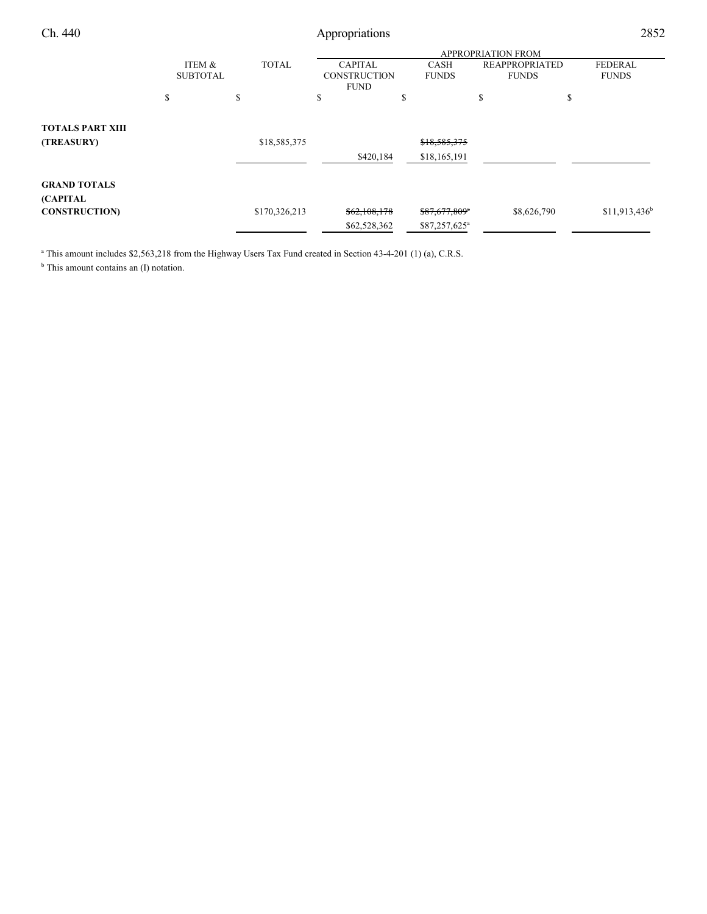|                         |                 |    |               | <b>APPROPRIATION FROM</b> |                           |                       |                 |  |  |
|-------------------------|-----------------|----|---------------|---------------------------|---------------------------|-----------------------|-----------------|--|--|
|                         | ITEM &          |    | <b>TOTAL</b>  | <b>CAPITAL</b>            | <b>CASH</b>               | <b>REAPPROPRIATED</b> | <b>FEDERAL</b>  |  |  |
|                         | <b>SUBTOTAL</b> |    |               | <b>CONSTRUCTION</b>       | <b>FUNDS</b>              | <b>FUNDS</b>          | <b>FUNDS</b>    |  |  |
|                         |                 |    |               | <b>FUND</b>               |                           |                       |                 |  |  |
|                         | \$              | \$ |               | \$                        | \$                        | \$                    | \$              |  |  |
| <b>TOTALS PART XIII</b> |                 |    |               |                           |                           |                       |                 |  |  |
| (TREASURY)              |                 |    | \$18,585,375  |                           | \$18,585,375              |                       |                 |  |  |
|                         |                 |    |               | \$420,184                 | \$18,165,191              |                       |                 |  |  |
| <b>GRAND TOTALS</b>     |                 |    |               |                           |                           |                       |                 |  |  |
| <b>(CAPITAL)</b>        |                 |    |               |                           |                           |                       |                 |  |  |
| <b>CONSTRUCTION</b>     |                 |    | \$170,326,213 | \$62,108,178              | \$87,677,809 <sup>a</sup> | \$8,626,790           | $$11,913,436^b$ |  |  |
|                         |                 |    |               | \$62,528,362              | \$87,257,625 <sup>a</sup> |                       |                 |  |  |

<sup>a</sup> This amount includes \$2,563,218 from the Highway Users Tax Fund created in Section 43-4-201 (1) (a), C.R.S.

<sup>b</sup> This amount contains an (I) notation.